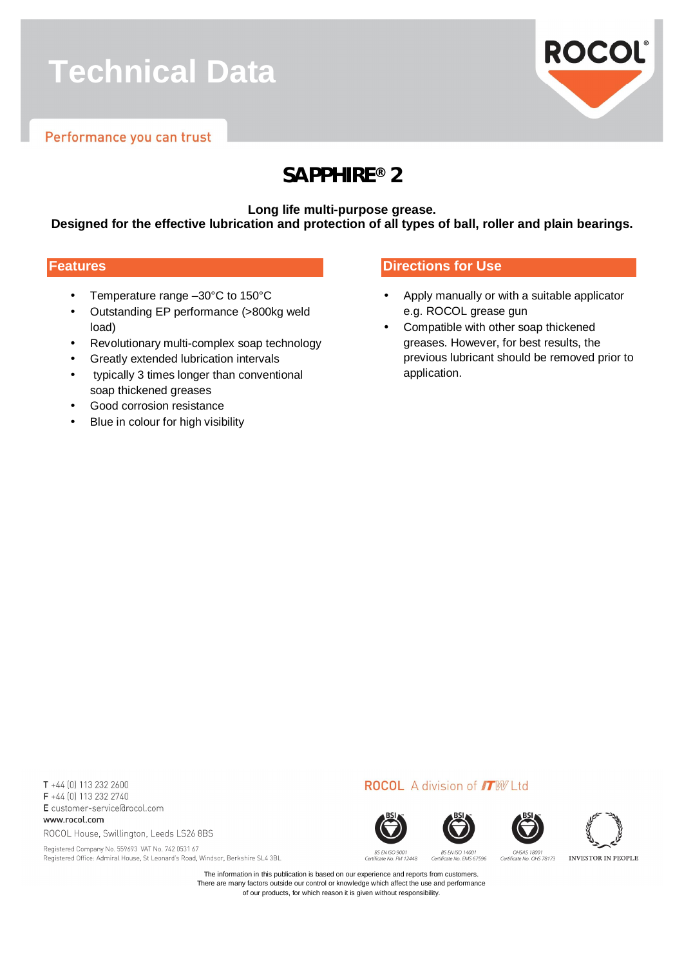# **Technical Data**



### **SAPPHIRE® 2**

**Long life multi-purpose grease.**

**Designed for the effective lubrication and protection of all types of ball, roller and plain bearings.**

#### **Features**

- Temperature range –30°C to 150°C
- Outstanding EP performance (>800kg weld load)
- Revolutionary multi-complex soap technology
- Greatly extended lubrication intervals
- typically 3 times longer than conventional soap thickened greases
- Good corrosion resistance
- Blue in colour for high visibility

#### **Directions for Use**

- Apply manually or with a suitable applicator e.g. ROCOL grease gun
- Compatible with other soap thickened greases. However, for best results, the previous lubricant should be removed prior to application.

T +44 (0) 113 232 2600 F +44 (0) 113 232 2740 E customer-service@rocol.com www.rocol.com

ROCOL House, Swillington, Leeds LS26 8BS

Registered Company No. 559693 VAT No. 742 0531 67 Registered Office: Admiral House, St Leonard's Road, Windsor, Berkshire SL4 3BL





**ROCOL** A division of **IT**W Ltd





BS EN ISO 900 **BS EN ISO 14001** Certificate No. FM 12448 Certificate No. FMS 67596

OHSAS 18001 Certificate No. OHS 78173 **INVESTOR IN PEOPLE** 

The information in this publication is based on our experience and reports from customers. There are many factors outside our control or knowledge which affect the use and performance of our products, for which reason it is given without responsibility.